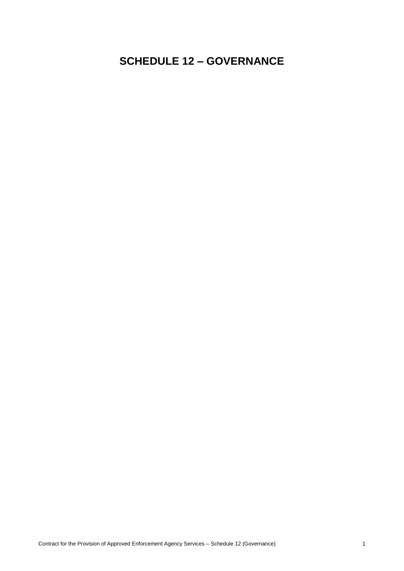# **SCHEDULE 12 – GOVERNANCE**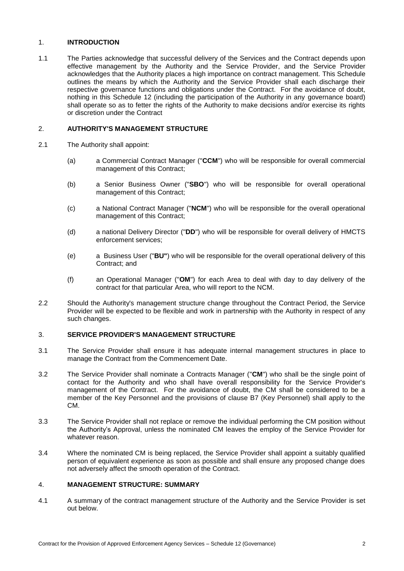#### 1. **INTRODUCTION**

1.1 The Parties acknowledge that successful delivery of the Services and the Contract depends upon effective management by the Authority and the Service Provider, and the Service Provider acknowledges that the Authority places a high importance on contract management. This Schedule outlines the means by which the Authority and the Service Provider shall each discharge their respective governance functions and obligations under the Contract. For the avoidance of doubt, nothing in this Schedule 12 (including the participation of the Authority in any governance board) shall operate so as to fetter the rights of the Authority to make decisions and/or exercise its rights or discretion under the Contract

### 2. **AUTHORITY'S MANAGEMENT STRUCTURE**

- 2.1 The Authority shall appoint:
	- (a) a Commercial Contract Manager ("**CCM**") who will be responsible for overall commercial management of this Contract;
	- (b) a Senior Business Owner ("**SBO**") who will be responsible for overall operational management of this Contract;
	- (c) a National Contract Manager ("**NCM**") who will be responsible for the overall operational management of this Contract;
	- (d) a national Delivery Director ("**DD**") who will be responsible for overall delivery of HMCTS enforcement services;
	- (e) a Business User ("**BU"**) who will be responsible for the overall operational delivery of this Contract; and
	- (f) an Operational Manager ("**OM**") for each Area to deal with day to day delivery of the contract for that particular Area, who will report to the NCM.
- 2.2 Should the Authority's management structure change throughout the Contract Period, the Service Provider will be expected to be flexible and work in partnership with the Authority in respect of any such changes.

### 3. **SERVICE PROVIDER'S MANAGEMENT STRUCTURE**

- 3.1 The Service Provider shall ensure it has adequate internal management structures in place to manage the Contract from the Commencement Date.
- 3.2 The Service Provider shall nominate a Contracts Manager ("**CM**") who shall be the single point of contact for the Authority and who shall have overall responsibility for the Service Provider's management of the Contract. For the avoidance of doubt, the CM shall be considered to be a member of the Key Personnel and the provisions of clause B7 (Key Personnel) shall apply to the CM.
- 3.3 The Service Provider shall not replace or remove the individual performing the CM position without the Authority's Approval, unless the nominated CM leaves the employ of the Service Provider for whatever reason
- 3.4 Where the nominated CM is being replaced, the Service Provider shall appoint a suitably qualified person of equivalent experience as soon as possible and shall ensure any proposed change does not adversely affect the smooth operation of the Contract.

#### 4. **MANAGEMENT STRUCTURE: SUMMARY**

4.1 A summary of the contract management structure of the Authority and the Service Provider is set out below.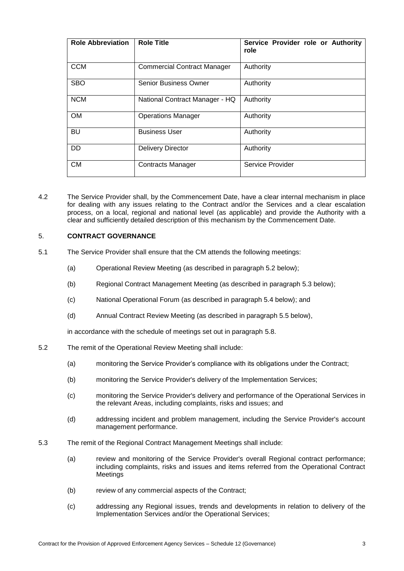| <b>Role Abbreviation</b> | <b>Role Title</b>                  | Service Provider role or Authority<br>role |
|--------------------------|------------------------------------|--------------------------------------------|
| <b>CCM</b>               | <b>Commercial Contract Manager</b> | Authority                                  |
| <b>SBO</b>               | <b>Senior Business Owner</b>       | Authority                                  |
| <b>NCM</b>               | National Contract Manager - HQ     | Authority                                  |
| <b>OM</b>                | <b>Operations Manager</b>          | Authority                                  |
| BU                       | <b>Business User</b>               | Authority                                  |
| <b>DD</b>                | <b>Delivery Director</b>           | Authority                                  |
| <b>CM</b>                | <b>Contracts Manager</b>           | Service Provider                           |

4.2 The Service Provider shall, by the Commencement Date, have a clear internal mechanism in place for dealing with any issues relating to the Contract and/or the Services and a clear escalation process, on a local, regional and national level (as applicable) and provide the Authority with a clear and sufficiently detailed description of this mechanism by the Commencement Date.

## 5. **CONTRACT GOVERNANCE**

- 5.1 The Service Provider shall ensure that the CM attends the following meetings:
	- (a) Operational Review Meeting (as described in paragraph 5.2 below);
	- (b) Regional Contract Management Meeting (as described in paragraph 5.3 below);
	- (c) National Operational Forum (as described in paragraph 5.4 below); and
	- (d) Annual Contract Review Meeting (as described in paragraph 5.5 below),

in accordance with the schedule of meetings set out in paragraph [5.8.](#page-3-0)

- 5.2 The remit of the Operational Review Meeting shall include:
	- (a) monitoring the Service Provider's compliance with its obligations under the Contract;
	- (b) monitoring the Service Provider's delivery of the Implementation Services;
	- (c) monitoring the Service Provider's delivery and performance of the Operational Services in the relevant Areas, including complaints, risks and issues; and
	- (d) addressing incident and problem management, including the Service Provider's account management performance.
- <span id="page-2-0"></span>5.3 The remit of the Regional Contract Management Meetings shall include:
	- (a) review and monitoring of the Service Provider's overall Regional contract performance; including complaints, risks and issues and items referred from the Operational Contract Meetings
	- (b) review of any commercial aspects of the Contract;
	- (c) addressing any Regional issues, trends and developments in relation to delivery of the Implementation Services and/or the Operational Services;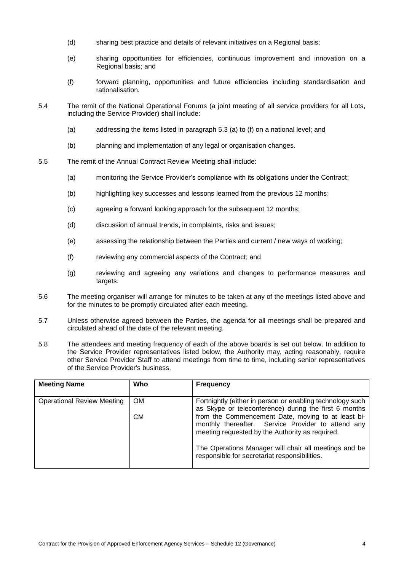- (d) sharing best practice and details of relevant initiatives on a Regional basis;
- (e) sharing opportunities for efficiencies, continuous improvement and innovation on a Regional basis; and
- (f) forward planning, opportunities and future efficiencies including standardisation and rationalisation.
- 5.4 The remit of the National Operational Forums (a joint meeting of all service providers for all Lots, including the Service Provider) shall include:
	- (a) addressing the items listed in paragraph [5.3](#page-2-0) (a) to (f) on a national level; and
	- (b) planning and implementation of any legal or organisation changes.
- 5.5 The remit of the Annual Contract Review Meeting shall include:
	- (a) monitoring the Service Provider's compliance with its obligations under the Contract;
	- (b) highlighting key successes and lessons learned from the previous 12 months;
	- (c) agreeing a forward looking approach for the subsequent 12 months;
	- (d) discussion of annual trends, in complaints, risks and issues;
	- (e) assessing the relationship between the Parties and current / new ways of working;
	- (f) reviewing any commercial aspects of the Contract; and
	- (g) reviewing and agreeing any variations and changes to performance measures and targets.
- 5.6 The meeting organiser will arrange for minutes to be taken at any of the meetings listed above and for the minutes to be promptly circulated after each meeting.
- 5.7 Unless otherwise agreed between the Parties, the agenda for all meetings shall be prepared and circulated ahead of the date of the relevant meeting.
- <span id="page-3-0"></span>5.8 The attendees and meeting frequency of each of the above boards is set out below. In addition to the Service Provider representatives listed below, the Authority may, acting reasonably, require other Service Provider Staff to attend meetings from time to time, including senior representatives of the Service Provider's business.

| <b>Meeting Name</b>               | Who       | <b>Frequency</b>                                                                                                                                            |
|-----------------------------------|-----------|-------------------------------------------------------------------------------------------------------------------------------------------------------------|
| <b>Operational Review Meeting</b> | <b>OM</b> | Fortnightly (either in person or enabling technology such<br>as Skype or teleconference) during the first 6 months                                          |
|                                   | <b>CM</b> | from the Commencement Date, moving to at least bi-<br>monthly thereafter. Service Provider to attend any<br>meeting requested by the Authority as required. |
|                                   |           | The Operations Manager will chair all meetings and be<br>responsible for secretariat responsibilities.                                                      |